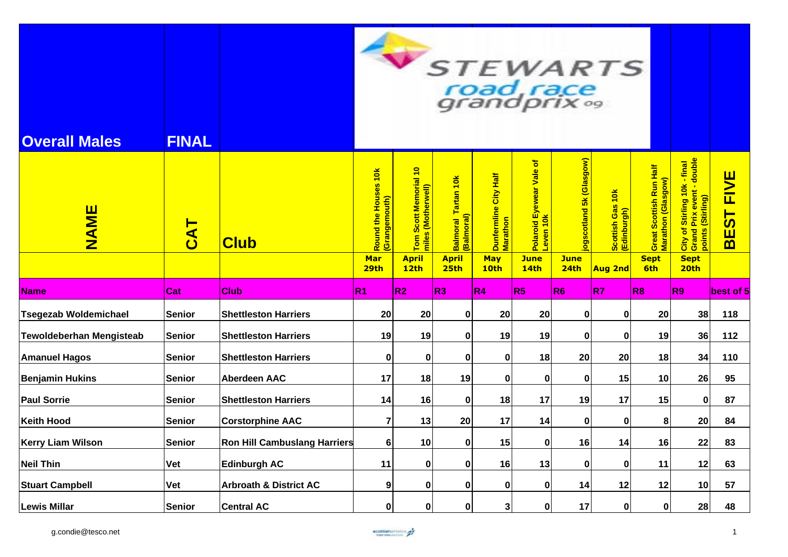| <b>Overall Males</b>            | <b>FINAL</b>    |                                     |                                                      |                                                                                 |                                                                       |                                                         | road race<br>grandprix <sup>09</sup>                                |                                                | STEWARTS                                          |                                                                     |                                                                                                                                    |                                    |
|---------------------------------|-----------------|-------------------------------------|------------------------------------------------------|---------------------------------------------------------------------------------|-----------------------------------------------------------------------|---------------------------------------------------------|---------------------------------------------------------------------|------------------------------------------------|---------------------------------------------------|---------------------------------------------------------------------|------------------------------------------------------------------------------------------------------------------------------------|------------------------------------|
| NAME                            | $\overline{CA}$ | <b>Club</b>                         | Round the Houses 10k<br>(Grangemouth)<br>Mar<br>29th | Tom Scott Memorial 10<br>miles (Motherwell)<br><b>April</b><br>12 <sub>th</sub> | Balmoral Tartan 10k<br>(Balmoral)<br><b>April</b><br>25 <sub>th</sub> | Dunfermline City Half<br>Marathon<br><b>May</b><br>10th | Polaroid Eyewear Vale of<br>Leven 10k<br><b>June</b><br><b>14th</b> | ogscotland 5k (Glasgow)<br><b>June</b><br>24th | Scottish Gas 10k<br>(Edinburgh)<br><b>Aug 2nd</b> | Great Scottish Run Half<br>Marathon (Glasgow)<br><b>Sept</b><br>6th | of Stirling 10k - final<br>nd Prix event - double<br>(Stirling)<br>City of<br>Grand I<br>points<br><b>Sept</b><br>20 <sub>th</sub> | <b>FIVE</b><br>EST<br>$\mathbf{m}$ |
| <b>Name</b>                     | Cat             | <b>Club</b>                         | R1                                                   | R <sub>2</sub>                                                                  | R <sub>3</sub>                                                        | R4                                                      | R5                                                                  | R <sub>6</sub>                                 | R <sub>7</sub>                                    | R8                                                                  | R <sub>9</sub>                                                                                                                     | best of 5                          |
| <b>Tsegezab Woldemichael</b>    | <b>Senior</b>   | <b>Shettleston Harriers</b>         | 20                                                   | 20                                                                              | $\mathbf 0$                                                           | 20                                                      | 20                                                                  | 0                                              | $\mathbf 0$                                       | 20                                                                  | 38                                                                                                                                 | 118                                |
| <b>Tewoldeberhan Mengisteab</b> | <b>Senior</b>   | <b>Shettleston Harriers</b>         | 19                                                   | 19                                                                              | 0                                                                     | 19                                                      | 19                                                                  | 0                                              | 0                                                 | 19                                                                  | 36                                                                                                                                 | 112                                |
| <b>Amanuel Hagos</b>            | <b>Senior</b>   | <b>Shettleston Harriers</b>         | $\bf{0}$                                             | $\mathbf 0$                                                                     | $\mathbf 0$                                                           | $\mathbf 0$                                             | 18                                                                  | 20                                             | 20                                                | 18                                                                  | 34                                                                                                                                 | 110                                |
| <b>Benjamin Hukins</b>          | <b>Senior</b>   | <b>Aberdeen AAC</b>                 | 17                                                   | 18                                                                              | 19                                                                    | $\mathbf{0}$                                            | 0                                                                   | 0                                              | 15                                                | 10                                                                  | 26                                                                                                                                 | 95                                 |
| <b>Paul Sorrie</b>              | <b>Senior</b>   | <b>Shettleston Harriers</b>         | 14                                                   | 16                                                                              | $\bf{0}$                                                              | 18                                                      | 17                                                                  | 19                                             | 17                                                | 15                                                                  | $\mathbf 0$                                                                                                                        | 87                                 |
| <b>Keith Hood</b>               | <b>Senior</b>   | <b>Corstorphine AAC</b>             | $\overline{7}$                                       | 13                                                                              | 20                                                                    | 17                                                      | 14                                                                  | 0                                              | 0                                                 | 8                                                                   | 20                                                                                                                                 | 84                                 |
| <b>Kerry Liam Wilson</b>        | <b>Senior</b>   | <b>Ron Hill Cambuslang Harriers</b> | $\bf 6$                                              | 10                                                                              | $\bf{0}$                                                              | 15                                                      | $\bf{0}$                                                            | 16                                             | 14                                                | 16                                                                  | 22                                                                                                                                 | 83                                 |
| <b>Neil Thin</b>                | Vet             | <b>Edinburgh AC</b>                 | 11                                                   | $\bf{0}$                                                                        | 0                                                                     | 16                                                      | 13                                                                  | 0                                              | 0                                                 | 11                                                                  | 12                                                                                                                                 | 63                                 |
| <b>Stuart Campbell</b>          | Vet             | <b>Arbroath &amp; District AC</b>   | 9                                                    | $\pmb{0}$                                                                       | 0                                                                     | 0                                                       | 0                                                                   | 14                                             | 12                                                | 12                                                                  | 10                                                                                                                                 | 57                                 |
| <b>Lewis Millar</b>             | <b>Senior</b>   | <b>Central AC</b>                   | $\pmb{0}$                                            | $\mathbf 0$                                                                     | $\bf{0}$                                                              | 3 <sup>1</sup>                                          | $\mathbf{0}$                                                        | 17                                             | $\mathbf{0}$                                      | $\mathbf{0}$                                                        | 28                                                                                                                                 | 48                                 |

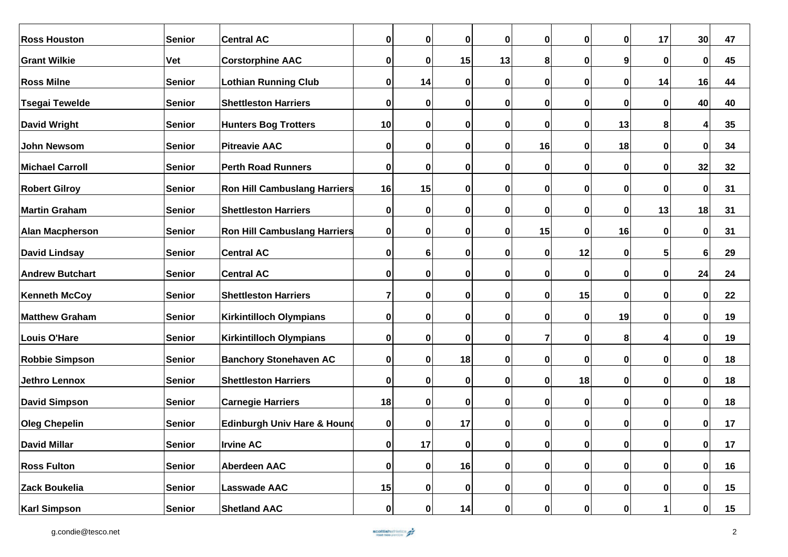| <b>Ross Houston</b>    | Senior        | <b>Central AC</b>                      | 0              | $\mathbf 0$  | $\mathbf 0$ | $\mathbf{0}$ | $\bf{0}$     | 0            | $\bf{0}$     | 17           | 30             | 47 |
|------------------------|---------------|----------------------------------------|----------------|--------------|-------------|--------------|--------------|--------------|--------------|--------------|----------------|----|
| <b>Grant Wilkie</b>    | <b>Vet</b>    | <b>Corstorphine AAC</b>                | 0              | $\mathbf 0$  | 15          | 13           | 8            | 0            | 9            | $\mathbf{0}$ | $\mathbf 0$    | 45 |
| <b>Ross Milne</b>      | Senior        | <b>Lothian Running Club</b>            | $\bf{0}$       | 14           | $\mathbf 0$ | $\mathbf 0$  | 0            | 0            | 0            | 14           | 16             | 44 |
| <b>Tsegai Tewelde</b>  | Senior        | <b>Shettleston Harriers</b>            | $\bf{0}$       | $\bf{0}$     | 0           | $\mathbf{0}$ | $\mathbf 0$  | 0            | 0            | $\mathbf{0}$ | 40             | 40 |
| <b>David Wright</b>    | Senior        | <b>Hunters Bog Trotters</b>            | 10             | $\bf{0}$     | $\bf{0}$    | 0            | 0            | 0            | 13           | 8            | 4              | 35 |
| John Newsom            | Senior        | <b>Pitreavie AAC</b>                   | $\bf{0}$       | $\bf{0}$     | $\mathbf 0$ | $\mathbf{0}$ | 16           | 0            | 18           | 0            | $\mathbf 0$    | 34 |
| <b>Michael Carroll</b> | Senior        | <b>Perth Road Runners</b>              | $\pmb{0}$      | $\bf{0}$     | $\mathbf 0$ | $\mathbf 0$  | 0            | 0            | 0            | 0            | 32             | 32 |
| <b>Robert Gilroy</b>   | Senior        | <b>Ron Hill Cambuslang Harriers</b>    | 16             | 15           | $\bf{0}$    | 0            | 0            | Ω            | O            | 0            | 0              | 31 |
| <b>Martin Graham</b>   | Senior        | <b>Shettleston Harriers</b>            | $\bf{0}$       | $\bf{0}$     | $\bf{0}$    | $\mathbf 0$  | 0            | 0            | 0            | 13           | 18             | 31 |
| <b>Alan Macpherson</b> | Senior        | <b>Ron Hill Cambuslang Harriers</b>    | $\bf{0}$       | $\bf{0}$     | $\bf{0}$    | $\mathbf{0}$ | 15           | 0            | 16           | 0            | $\mathbf 0$    | 31 |
| <b>David Lindsay</b>   | Senior        | <b>Central AC</b>                      | 0              | 6            | $\bf{0}$    | $\mathbf 0$  | 0            | 12           | 0            | 5            | $6\phantom{1}$ | 29 |
| <b>Andrew Butchart</b> | Senior        | <b>Central AC</b>                      | 0              | $\bf{0}$     | $\bf{0}$    | $\mathbf 0$  | 0            | 0            | 0            | $\mathbf{0}$ | 24             | 24 |
| <b>Kenneth McCoy</b>   | Senior        | <b>Shettleston Harriers</b>            | $\overline{7}$ | $\mathbf 0$  | $\mathbf 0$ | $\mathbf 0$  | $\bf{0}$     | 15           | $\bf{0}$     | $\mathbf{0}$ | $\mathbf 0$    | 22 |
| <b>Matthew Graham</b>  | Senior        | Kirkintilloch Olympians                | 0              | $\mathbf 0$  | 0           | $\mathbf{0}$ | $\bf{0}$     | 0            | 19           | $\mathbf{0}$ | $\mathbf 0$    | 19 |
| Louis O'Hare           | Senior        | <b>Kirkintilloch Olympians</b>         | $\bf{0}$       | $\mathbf 0$  | $\bf{0}$    | $\mathbf 0$  | 7            | 0            | 8            | 4            | $\mathbf 0$    | 19 |
| <b>Robbie Simpson</b>  | Senior        | <b>Banchory Stonehaven AC</b>          | $\bf{0}$       | $\mathbf 0$  | 18          | $\mathbf 0$  | 0            | 0            | $\mathbf{0}$ | $\mathbf{0}$ | $\mathbf 0$    | 18 |
| <b>Jethro Lennox</b>   | Senior        | <b>Shettleston Harriers</b>            | $\pmb{0}$      | $\mathbf 0$  | $\bf{0}$    | $\mathbf{0}$ | $\mathbf 0$  | 18           | 0            | 0            | $\mathbf 0$    | 18 |
| <b>David Simpson</b>   | Senior        | <b>Carnegie Harriers</b>               | 18             | $\mathbf 0$  | $\bf{0}$    | $\mathbf 0$  | 0            | 0            | 0            | $\mathbf{0}$ | $\mathbf 0$    | 18 |
| <b>Oleg Chepelin</b>   | Senior        | <b>Edinburgh Univ Hare &amp; Hound</b> | $\pmb{0}$      | $\mathbf 0$  | 17          | $\mathbf{0}$ | $\mathbf 0$  | 0            | 0            | $\mathbf{0}$ | $\mathbf 0$    | 17 |
| <b>David Millar</b>    | <b>Senior</b> | <b>Irvine AC</b>                       | 0              | 17           | 0           | $\mathbf{0}$ | $\mathbf{0}$ | $\mathbf{0}$ | 0            | $\mathbf{0}$ | 0              | 17 |
| <b>Ross Fulton</b>     | Senior        | <b>Aberdeen AAC</b>                    | 0              | $\mathbf{0}$ | 16          | $\mathbf{0}$ | 0            | $\mathbf 0$  | 0            | 0            | $\mathbf{0}$   | 16 |
| Zack Boukelia          | Senior        | Lasswade AAC                           | 15             | $\mathbf 0$  | 0           | $\mathbf{0}$ | 0            | 0            | 0            | 0            | $\mathbf{0}$   | 15 |
| <b>Karl Simpson</b>    | Senior        | <b>Shetland AAC</b>                    | $\pmb{0}$      | $\mathbf 0$  | 14          | 0            | 0            | 0            | 0            |              | $\mathbf{0}$   | 15 |

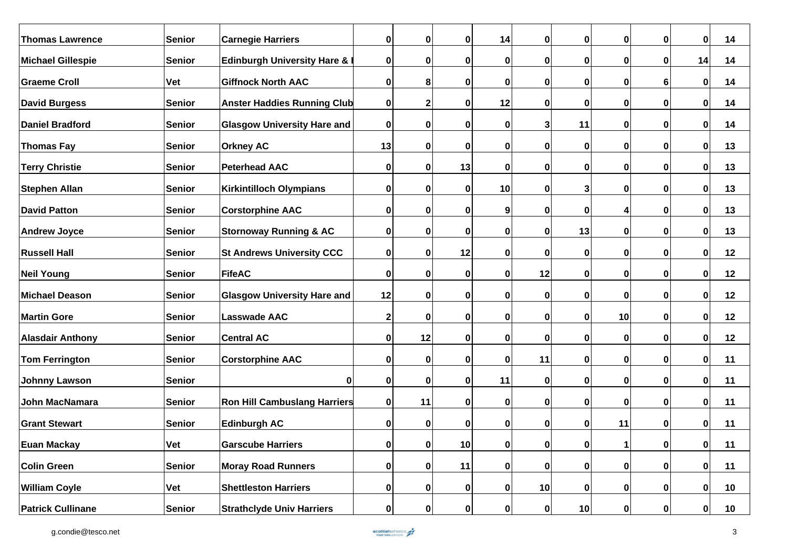| <b>Thomas Lawrence</b>   | <b>Senior</b> | <b>Carnegie Harriers</b>               | $\pmb{0}$   | $\mathbf 0$  | $\bf{0}$        | 14           | $\bf{0}$     | 0            | $\mathbf{0}$ | $\mathbf{0}$   | $\mathbf 0$  | 14 |
|--------------------------|---------------|----------------------------------------|-------------|--------------|-----------------|--------------|--------------|--------------|--------------|----------------|--------------|----|
| <b>Michael Gillespie</b> | Senior        | <b>Edinburgh University Hare &amp;</b> | $\pmb{0}$   | 0            | $\mathbf 0$     | 0            | 0            | 0            | 0            | 0              | 14           | 14 |
| <b>Graeme Croll</b>      | <b>Vet</b>    | <b>Giffnock North AAC</b>              | $\bf{0}$    | 8            | $\mathbf 0$     | 0            | 0            | 0            | 0            | 6 <sup>1</sup> | 0            | 14 |
| <b>David Burgess</b>     | <b>Senior</b> | <b>Anster Haddies Running Club</b>     | $\pmb{0}$   | $\mathbf 2$  | $\bf{0}$        | 12           | 0            | 0            | 0            | $\mathbf{0}$   | $\mathbf 0$  | 14 |
| <b>Daniel Bradford</b>   | <b>Senior</b> | <b>Glasgow University Hare and</b>     | $\pmb{0}$   | 0            | $\mathbf 0$     | 0            | 3            | 11           | 0            | 0              | $\mathbf 0$  | 14 |
| <b>Thomas Fay</b>        | <b>Senior</b> | <b>Orkney AC</b>                       | 13          | $\mathbf 0$  | $\mathbf 0$     | $\mathbf{0}$ | 0            | 0            | $\mathbf 0$  | $\mathbf{0}$   | $\mathbf 0$  | 13 |
| <b>Terry Christie</b>    | <b>Senior</b> | <b>Peterhead AAC</b>                   | $\pmb{0}$   | 0            | 13              | $\mathbf{0}$ | $\mathbf 0$  | 0            | 0            | 0              | $\mathbf 0$  | 13 |
| <b>Stephen Allan</b>     | <b>Senior</b> | <b>Kirkintilloch Olympians</b>         | $\bf{0}$    | $\bf{0}$     | $\mathbf 0$     | 10           | 0            |              | 0            | 0              | $\mathbf 0$  | 13 |
| <b>David Patton</b>      | <b>Senior</b> | <b>Corstorphine AAC</b>                | $\bf{0}$    | $\mathbf 0$  | 0               | 9            | 0            | 0            |              | 0              | $\mathbf 0$  | 13 |
| <b>Andrew Joyce</b>      | <b>Senior</b> | <b>Stornoway Running &amp; AC</b>      | $\bf{0}$    | 0            | $\bf{0}$        | 0            | 0            | 13           | 0            | 0              | $\mathbf 0$  | 13 |
| <b>Russell Hall</b>      | <b>Senior</b> | <b>St Andrews University CCC</b>       | $\bf{0}$    | $\mathbf 0$  | 12              | 0            | $\bf{0}$     | 0            | 0            | 0              | $\mathbf 0$  | 12 |
| <b>Neil Young</b>        | <b>Senior</b> | FifeAC                                 | $\pmb{0}$   | $\mathbf 0$  | $\mathbf 0$     | $\mathbf{0}$ | 12           | 0            | 0            | 0              | $\mathbf 0$  | 12 |
| <b>Michael Deason</b>    | <b>Senior</b> | <b>Glasgow University Hare and</b>     | 12          | $\mathbf 0$  | $\mathbf 0$     | 0            | $\bf{0}$     | 0            | 0            | 0              | $\mathbf 0$  | 12 |
| <b>Martin Gore</b>       | <b>Senior</b> | <b>Lasswade AAC</b>                    | $\mathbf 2$ | $\mathbf 0$  | $\mathbf 0$     | $\mathbf{0}$ | 0            | 0            | 10           | $\mathbf{0}$   | $\mathbf 0$  | 12 |
| <b>Alasdair Anthony</b>  | <b>Senior</b> | <b>Central AC</b>                      | $\bf{0}$    | 12           | $\mathbf 0$     | 0            | 0            | 0            | 0            | $\mathbf{0}$   | $\mathbf 0$  | 12 |
| <b>Tom Ferrington</b>    | <b>Senior</b> | <b>Corstorphine AAC</b>                | $\pmb{0}$   | $\mathbf 0$  | $\bf{0}$        | 0            | 11           | 0            | $\mathbf{0}$ | $\mathbf{0}$   | $\mathbf 0$  | 11 |
| <b>Johnny Lawson</b>     | <b>Senior</b> | 0                                      | $\pmb{0}$   | 0            | $\bf{0}$        | 11           | $\mathbf 0$  | 0            | $\mathbf 0$  | 0              | $\mathbf 0$  | 11 |
| <b>John MacNamara</b>    | <b>Senior</b> | <b>Ron Hill Cambuslang Harriers</b>    | $\pmb{0}$   | 11           | $\mathbf 0$     | $\mathbf{0}$ | 0            | 0            | 0            | 0              | $\mathbf 0$  | 11 |
| <b>Grant Stewart</b>     | Senior        | <b>Edinburgh AC</b>                    | $\pmb{0}$   | 0            | 0               | 0            | 0            | 0            | 11           | $\mathbf{0}$   | $\mathbf 0$  | 11 |
|                          |               | <b>Garscube Harriers</b>               |             |              |                 |              |              |              |              |                |              |    |
| <b>Euan Mackay</b>       | Vet           |                                        | 0           | 0            | 10 <sub>l</sub> | $\mathbf{0}$ | $\mathbf{0}$ | $\mathbf{0}$ | 11           | $\mathbf{0}$   | 0            | 11 |
| <b>Colin Green</b>       | <b>Senior</b> | <b>Moray Road Runners</b>              | $\pmb{0}$   | $\mathbf{0}$ | 11              | $\mathbf{0}$ | 0            | 0            | $\mathbf 0$  | 0              | $\mathbf 0$  | 11 |
| <b>William Coyle</b>     | Vet           | <b>Shettleston Harriers</b>            | $\pmb{0}$   | 0            | $\bf{0}$        | $\mathbf{0}$ | 10           | 0            | $\mathbf 0$  | 0              | $\mathbf{0}$ | 10 |
| <b>Patrick Cullinane</b> | <b>Senior</b> | <b>Strathclyde Univ Harriers</b>       | $\pmb{0}$   | $\pmb{0}$    | $\bf{0}$        | 0            | 0            | $10$         | $\mathbf 0$  | 0              | $\mathbf{0}$ | 10 |

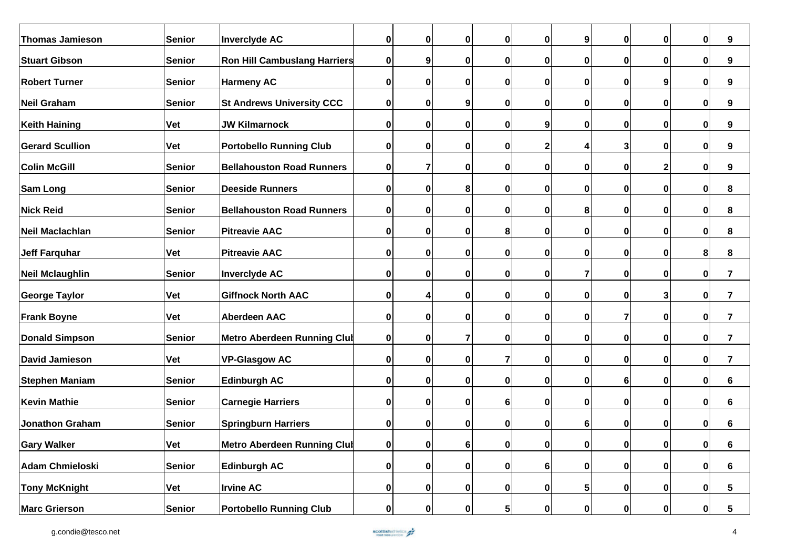| <b>Thomas Jamieson</b> | <b>Senior</b> | <b>Inverclyde AC</b>                | $\mathbf 0$  | $\bf{0}$  | $\mathbf 0$    | $\bf{0}$       | $\mathbf 0$  | 9            | 0            | 0            | $\mathbf{0}$ | 9                       |
|------------------------|---------------|-------------------------------------|--------------|-----------|----------------|----------------|--------------|--------------|--------------|--------------|--------------|-------------------------|
| <b>Stuart Gibson</b>   | <b>Senior</b> | <b>Ron Hill Cambuslang Harriers</b> | $\mathbf 0$  | 9         | $\bf{0}$       | $\bf{0}$       | $\mathbf 0$  | 0            | 0            | 0            | 0            | 9                       |
| <b>Robert Turner</b>   | <b>Senior</b> | <b>Harmeny AC</b>                   | $\mathbf 0$  | $\bf{0}$  | $\bf{0}$       | $\mathbf 0$    | $\mathbf 0$  | $\bf{0}$     | 0            | 9            | 0            | 9                       |
| <b>Neil Graham</b>     | <b>Senior</b> | <b>St Andrews University CCC</b>    | 0            | $\bf{0}$  | 9              | 0              | $\mathbf 0$  | 0            | 0            | 0            | 0            | 9                       |
| <b>Keith Haining</b>   | Vet           | <b>JW Kilmarnock</b>                | $\mathbf 0$  | $\bf{0}$  | $\bf{0}$       | $\mathbf 0$    | 9            | 0            | 0            | 0            | 0            | 9                       |
| <b>Gerard Scullion</b> | Vet           | <b>Portobello Running Club</b>      | $\mathbf 0$  | $\bf{0}$  | $\mathbf 0$    | $\mathbf 0$    | 2            |              | 3            | 0            | $\mathbf{0}$ | 9                       |
| <b>Colin McGill</b>    | <b>Senior</b> | <b>Bellahouston Road Runners</b>    | $\mathbf 0$  | 7         | $\bf{0}$       | $\bf{0}$       | $\bf{0}$     | 0            | 0            | 2            | 0            | 9                       |
| <b>Sam Long</b>        | <b>Senior</b> | <b>Deeside Runners</b>              | $\mathbf 0$  | 0         | 8              | $\mathbf 0$    | 0            | 0            | 0            | O            | U            | 8                       |
| <b>Nick Reid</b>       | <b>Senior</b> | <b>Bellahouston Road Runners</b>    | $\mathbf 0$  | 0         | $\bf{0}$       | $\mathbf 0$    | $\mathbf 0$  | 8            | 0            | O            | 0            | 8                       |
| <b>Neil Maclachlan</b> | Senior        | <b>Pitreavie AAC</b>                | $\mathbf 0$  | $\bf{0}$  | 0              | 8              | 0            | 0            | 0            | 0            | 0            | 8                       |
| <b>Jeff Farquhar</b>   | <b>Vet</b>    | <b>Pitreavie AAC</b>                | 0            | 0         | 0              | $\bf{0}$       | $\bf{0}$     | 0            | 0            | 0            | 8            | 8                       |
| <b>Neil Mclaughlin</b> | <b>Senior</b> | <b>Inverclyde AC</b>                | 0            | 0         | $\bf{0}$       | $\mathbf 0$    | $\bf{0}$     | 7            | 0            | 0            | 0            | $\overline{7}$          |
| <b>George Taylor</b>   | Vet           | <b>Giffnock North AAC</b>           | 0            | 4         | $\bf{0}$       | $\mathbf 0$    | $\mathbf 0$  | 0            | 0            | 3            | 0            | 7                       |
| <b>Frank Boyne</b>     | Vet           | <b>Aberdeen AAC</b>                 | $\mathbf 0$  | $\bf{0}$  | $\mathbf 0$    | $\mathbf 0$    | $\mathbf 0$  | $\bf{0}$     | 7            | 0            | $\mathbf 0$  | $\overline{\mathbf{7}}$ |
| <b>Donald Simpson</b>  | Senior        | <b>Metro Aberdeen Running Club</b>  | $\mathbf 0$  | $\bf{0}$  | $\overline{7}$ | $\mathbf 0$    | $\bf{0}$     | 0            | 0            | 0            | $\mathbf 0$  | 7                       |
|                        |               |                                     |              |           |                |                |              |              |              |              |              |                         |
| <b>David Jamieson</b>  | <b>Vet</b>    | <b>VP-Glasgow AC</b>                | $\mathbf 0$  | $\bf{0}$  | $\bf{0}$       | $\overline{7}$ | $\mathbf 0$  | 0            | 0            | 0            | $\mathbf 0$  | $\overline{\mathbf{r}}$ |
| <b>Stephen Maniam</b>  | <b>Senior</b> | <b>Edinburgh AC</b>                 | $\mathbf 0$  | $\bf{0}$  | $\mathbf 0$    | 0              | $\mathbf 0$  | $\mathbf{0}$ | 6            | 0            | 0            | 6                       |
| <b>Kevin Mathie</b>    | <b>Senior</b> | <b>Carnegie Harriers</b>            | 0            | $\bf{0}$  | $\bf{0}$       | 6              | $\mathbf 0$  | 0            | 0            | 0            | ŋ            | 6                       |
| <b>Jonathon Graham</b> | <b>Senior</b> | <b>Springburn Harriers</b>          | $\mathbf 0$  | 0         | $\bf{0}$       | $\mathbf 0$    | $\mathbf 0$  | 61           | 0            | 0            | 0            | 6                       |
| <b>Gary Walker</b>     | Vet           | <b>Metro Aberdeen Running Club</b>  | 0            | 0         | 6 <sup>1</sup> | 0              | 0            | $\mathbf{0}$ | 0            | $\mathbf{0}$ | $\mathbf{0}$ | 6                       |
| <b>Adam Chmieloski</b> | <b>Senior</b> | <b>Edinburgh AC</b>                 | 0            | 0         | $\mathbf{0}$   | 0              | $6 \mid$     | 0            | 0            | 0            | $\mathbf 0$  | 6                       |
| <b>Tony McKnight</b>   | Vet           | <b>Irvine AC</b>                    | 0            | $\pmb{0}$ | 0              | $\mathbf 0$    | $\mathbf 0$  | 5            | $\mathbf{0}$ | 0            | $\mathbf 0$  | 5                       |
| <b>Marc Grierson</b>   | <b>Senior</b> | <b>Portobello Running Club</b>      | $\mathbf{0}$ | $\pmb{0}$ | $\mathbf{0}$   | 5 <sub>l</sub> | $\mathbf{0}$ | $\mathbf{0}$ | $\mathbf 0$  | 0            | $\mathbf 0$  | 5                       |

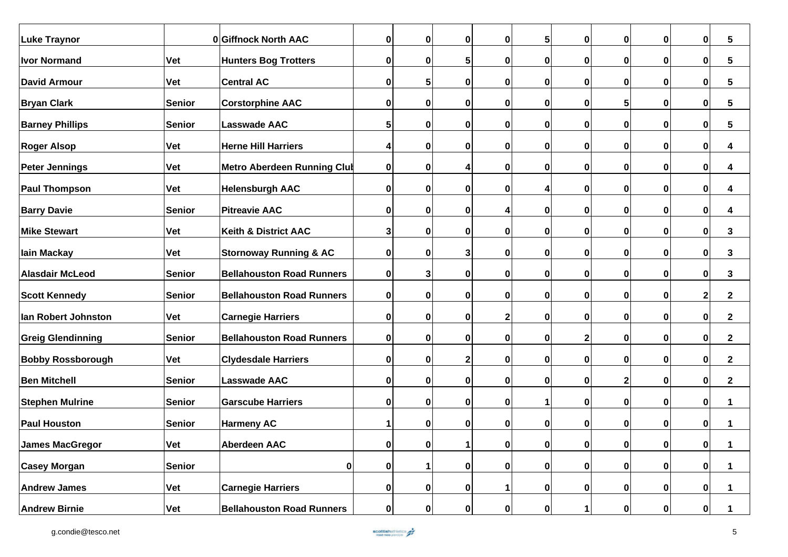| <b>Luke Traynor</b>      |               | 0 Giffnock North AAC               | $\bf{0}$     | $\mathbf 0$ | 0            | $\mathbf{0}$ | 5            | 0            | $\mathbf{0}$ | 0            | $\mathbf 0$  | 5            |
|--------------------------|---------------|------------------------------------|--------------|-------------|--------------|--------------|--------------|--------------|--------------|--------------|--------------|--------------|
| <b>Ivor Normand</b>      | <b>Vet</b>    | <b>Hunters Bog Trotters</b>        | 0            | $\bf{0}$    | 5            | $\mathbf 0$  | 0            | 0            | 0            | $\mathbf{0}$ | $\mathbf 0$  | 5            |
| <b>David Armour</b>      | <b>Vet</b>    | <b>Central AC</b>                  | 0            | 5           | $\mathbf 0$  | $\mathbf 0$  | 0            | 0            | 0            | $\mathbf{0}$ | $\mathbf 0$  | 5            |
| <b>Bryan Clark</b>       | <b>Senior</b> | <b>Corstorphine AAC</b>            | 0            | $\mathbf 0$ | 0            | $\mathbf{0}$ | $\mathbf 0$  | 0            | 5            | $\mathbf{0}$ | $\mathbf 0$  | 5            |
| <b>Barney Phillips</b>   | Senior        | <b>Lasswade AAC</b>                | 5            | 0           | $\bf{0}$     | $\mathbf{0}$ | 0            | 0            | 0            | $\mathbf{0}$ | $\mathbf 0$  | 5            |
| <b>Roger Alsop</b>       | <b>Vet</b>    | <b>Herne Hill Harriers</b>         | 4            | $\mathbf 0$ | $\mathbf 0$  | $\mathbf 0$  | 0            | 0            | $\mathbf 0$  | $\mathbf{0}$ | $\mathbf 0$  | 4            |
| <b>Peter Jennings</b>    | <b>Vet</b>    | <b>Metro Aberdeen Running Club</b> | $\pmb{0}$    | $\bf{0}$    | Δ            | $\mathbf 0$  | $\mathbf 0$  | 0            | 0            | 0            | $\mathbf 0$  | 4            |
| <b>Paul Thompson</b>     | <b>Vet</b>    | <b>Helensburgh AAC</b>             | 0            | $\bf{0}$    | $\bf{0}$     | 0            |              | Ω            | O            | 0            | 0            | 4            |
| <b>Barry Davie</b>       | Senior        | <b>Pitreavie AAC</b>               | 0            | $\bf{0}$    | $\mathbf 0$  |              | 0            | 0            | O            | $\mathbf{0}$ | $\mathbf 0$  | 4            |
| <b>Mike Stewart</b>      | <b>Vet</b>    | <b>Keith &amp; District AAC</b>    | 3            | $\bf{0}$    | $\bf{0}$     | $\mathbf{0}$ | 0            | 0            | 0            | 0            | $\mathbf 0$  | 3            |
| lain Mackay              | <b>Vet</b>    | <b>Stornoway Running &amp; AC</b>  | 0            | $\bf{0}$    | 3            | $\mathbf{0}$ | 0            | 0            | 0            | 0            | $\mathbf 0$  | 3            |
| <b>Alasdair McLeod</b>   | Senior        | <b>Bellahouston Road Runners</b>   | 0            | 3           | $\mathbf 0$  | $\mathbf{0}$ | 0            | 0            | 0            | $\mathbf{0}$ | $\mathbf 0$  | 3            |
| <b>Scott Kennedy</b>     | Senior        | <b>Bellahouston Road Runners</b>   | 0            | $\mathbf 0$ | $\mathbf 0$  | $\mathbf 0$  | 0            | 0            | $\bf{0}$     | $\mathbf{0}$ | $\mathbf{2}$ | $\mathbf{2}$ |
| Ian Robert Johnston      | <b>Vet</b>    | <b>Carnegie Harriers</b>           | 0            | $\bf{0}$    | 0            | $\mathbf{2}$ | 0            | 0            | 0            | $\mathbf{0}$ | $\mathbf 0$  | $\mathbf{2}$ |
| <b>Greig Glendinning</b> | Senior        | <b>Bellahouston Road Runners</b>   | $\bf{0}$     | $\mathbf 0$ | $\mathbf 0$  | $\mathbf 0$  | 0            | 2            | 0            | $\mathbf{0}$ | $\mathbf 0$  | $\mathbf{2}$ |
| <b>Bobby Rossborough</b> | <b>Vet</b>    | <b>Clydesdale Harriers</b>         | 0            | $\mathbf 0$ | $\mathbf{2}$ | $\mathbf 0$  | 0            | 0            | $\bf{0}$     | $\mathbf{0}$ | $\mathbf 0$  | $\mathbf{2}$ |
| <b>Ben Mitchell</b>      | Senior        | Lasswade AAC                       | $\pmb{0}$    | $\mathbf 0$ | 0            | $\mathbf{0}$ | $\mathbf{0}$ | 0            | 2            | 0            | $\mathbf 0$  | $\mathbf{2}$ |
| <b>Stephen Mulrine</b>   | Senior        | <b>Garscube Harriers</b>           | 0            | 0           | $\mathbf 0$  | $\mathbf{0}$ |              | 0            | 0            | 0            | 0            |              |
| <b>Paul Houston</b>      | Senior        | <b>Harmeny AC</b>                  | 1            | $\bf{0}$    | $\mathbf 0$  | $\mathbf 0$  | 0            | 0            | 0            | $\mathbf{0}$ | $\mathbf 0$  |              |
| James MacGregor          | Vet           | <b>Aberdeen AAC</b>                | $\mathbf{0}$ | 0           | 11           | $\mathbf{0}$ | $\mathbf{0}$ | $\mathbf{0}$ | 0            | $\mathbf{0}$ | 0            | 1            |
| <b>Casey Morgan</b>      | Senior        | $\mathbf 0$                        | $\pmb{0}$    |             | 0            | $\mathbf{0}$ | $\mathbf{0}$ | 0            | 0            | 0            | $\mathbf{0}$ | 1            |
| <b>Andrew James</b>      | Vet           | <b>Carnegie Harriers</b>           | 0            | $\bf{0}$    | 0            |              | $\mathbf 0$  | 0            | 0            | 0            | $\mathbf{0}$ | 1            |
| <b>Andrew Birnie</b>     | <b>Vet</b>    | <b>Bellahouston Road Runners</b>   | $\pmb{0}$    | $\mathbf 0$ | 0            | 0            | 0            |              | $\mathbf{0}$ | $\mathbf{0}$ | $\mathbf{0}$ | 1            |

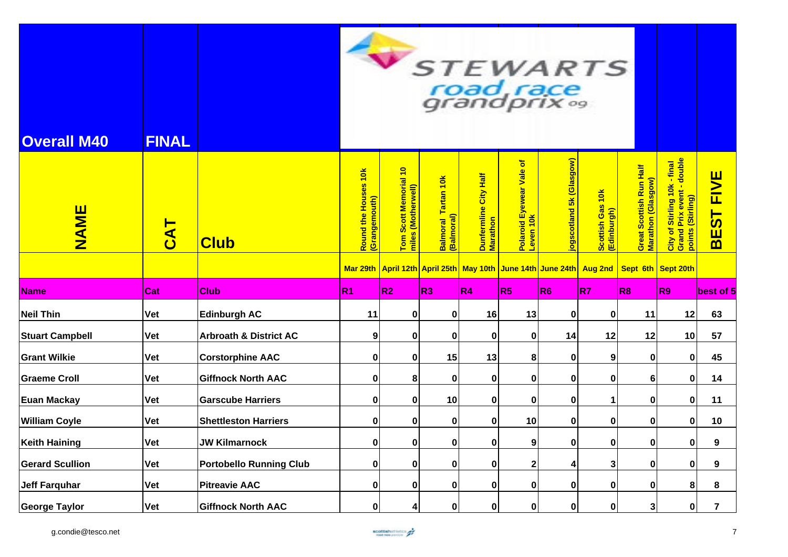| <b>Overall M40</b>     | <b>FINAL</b> |                                   |                                       |                                                                     |                                          |                                   | road race<br>grandprix <sup>09</sup>           |                         | STEWARTS                        |                                               |                                                                                |                            |
|------------------------|--------------|-----------------------------------|---------------------------------------|---------------------------------------------------------------------|------------------------------------------|-----------------------------------|------------------------------------------------|-------------------------|---------------------------------|-----------------------------------------------|--------------------------------------------------------------------------------|----------------------------|
| <b>NAME</b>            | <b>DAJ</b>   | <b>Club</b>                       | Round the Houses 10k<br>(Grangemouth) | Tom Scott Memorial 10<br>miles (Motherwell)                         | <b>Balmoral Tartan 10k</b><br>(Balmoral) | Dunfermline City Half<br>Marathon | $\delta$<br>Polaroid Eyewear Vale<br>Leven 10k | ogscotland 5k (Glasgow) | Scottish Gas 10k<br>(Edinburgh) | Great Scottish Run Half<br>Marathon (Glasgow) | City of Stirling 10k - final<br>Grand Prix event - double<br>points (Stirling) | <b>FIVE</b><br><b>BEST</b> |
|                        |              |                                   |                                       | Mar 29th April 12th April 25th May 10th June 14th June 24th Aug 2nd |                                          |                                   |                                                |                         |                                 | Sept 6th Sept 20th                            |                                                                                |                            |
| <b>Name</b>            | Cat          | <b>Club</b>                       | R <sub>1</sub>                        | R <sub>2</sub>                                                      | R3                                       | R <sub>4</sub>                    | R5                                             | R6                      | R7                              | R8                                            | R <sub>9</sub>                                                                 | lbest of 5                 |
| <b>Neil Thin</b>       | Vet          | <b>Edinburgh AC</b>               | 11                                    | 0                                                                   | $\mathbf{0}$                             | 16                                | 13                                             | 0                       | 0                               | 11                                            | 12                                                                             | 63                         |
| <b>Stuart Campbell</b> | Vet          | <b>Arbroath &amp; District AC</b> | 9                                     | 0                                                                   | $\mathbf 0$                              | $\mathbf 0$                       | $\bf{0}$                                       | 14                      | 12                              | 12                                            | 10                                                                             | 57                         |
| <b>Grant Wilkie</b>    | Vet          | <b>Corstorphine AAC</b>           | 0                                     | $\mathbf 0$                                                         | 15                                       | 13                                | 8                                              | 0                       | 9                               | 0                                             | $\mathbf 0$                                                                    | 45                         |
| <b>Graeme Croll</b>    | Vet          | <b>Giffnock North AAC</b>         | 0                                     | 8                                                                   | 0                                        | 0                                 | 0                                              | 0                       | 0                               | 6                                             | $\mathbf 0$                                                                    | 14                         |
| <b>Euan Mackay</b>     | Vet          | <b>Garscube Harriers</b>          | 0                                     | 0                                                                   | 10                                       | $\mathbf{0}$                      | 0                                              | $\bf{0}$                | $\mathbf 1$                     | 0                                             | $\bf{0}$                                                                       | 11                         |
| <b>William Coyle</b>   | Vet          | <b>Shettleston Harriers</b>       | 0                                     | 0                                                                   | $\mathbf 0$                              | $\mathbf 0$                       | 10                                             | 0                       | $\bf{0}$                        | 0                                             | $\mathbf 0$                                                                    | 10                         |
| <b>Keith Haining</b>   | Vet          | <b>JW Kilmarnock</b>              | 0                                     | 0                                                                   | $\mathbf 0$                              | 0                                 | 9                                              | 0                       | 0                               | 0                                             | $\mathbf 0$                                                                    | 9                          |
| <b>Gerard Scullion</b> | Vet          | <b>Portobello Running Club</b>    | 0                                     | 0                                                                   | $\mathbf 0$                              | $\mathbf 0$                       | 2                                              | 4                       | 3                               | 0                                             | 0                                                                              | 9                          |
| <b>Jeff Farquhar</b>   | <b>Vet</b>   | <b>Pitreavie AAC</b>              | 0                                     | 0                                                                   | $\mathbf 0$                              | $\mathbf 0$                       | $\pmb{0}$                                      | $\bf{0}$                | $\bf{0}$                        | 0                                             | 8                                                                              | 8                          |
| <b>George Taylor</b>   | Vet          | <b>Giffnock North AAC</b>         | 0                                     | 4                                                                   | $\mathbf 0$                              | $\mathbf{0}$                      | $\mathbf 0$                                    | $\bf{0}$                | $\mathbf 0$                     | 3                                             | $\mathbf 0$                                                                    | $\overline{7}$             |

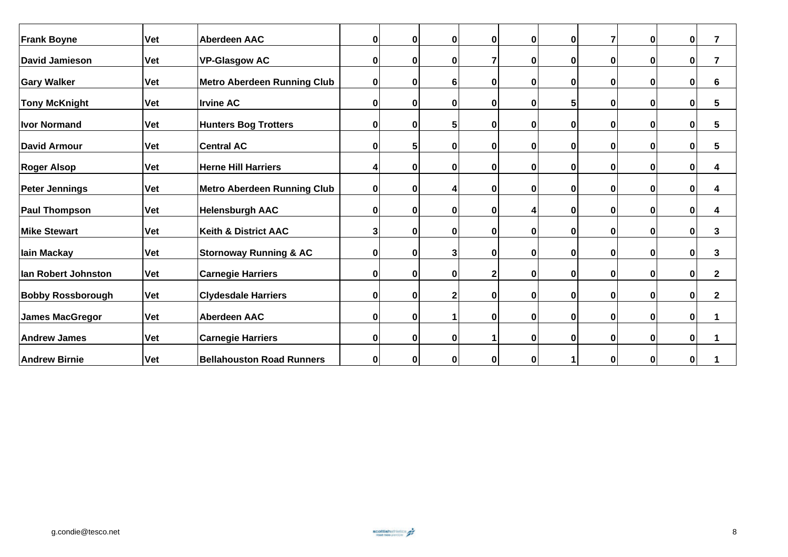| <b>Frank Boyne</b>       | <b>Vet</b> | <b>Aberdeen AAC</b>                | 0 | $\bf{0}$ | $\mathbf 0$  | 0 | 0 | $\bf{0}$ | 7 | 0 | $\pmb{0}$   | $\overline{7}$ |
|--------------------------|------------|------------------------------------|---|----------|--------------|---|---|----------|---|---|-------------|----------------|
| David Jamieson           | <b>Vet</b> | <b>VP-Glasgow AC</b>               | 0 | 0        | $\mathbf 0$  | 7 | 0 | 0        | 0 | 0 | 0           | $\overline{7}$ |
| <b>Gary Walker</b>       | <b>Vet</b> | <b>Metro Aberdeen Running Club</b> | 0 | 0        | 6            | 0 | 0 | 0        | 0 | 0 | 0           | 6              |
| <b>Tony McKnight</b>     | <b>Vet</b> | <b>Irvine AC</b>                   | 0 | 0        | 0            | 0 | 0 | 5        | 0 | 0 | $\bf{0}$    | $5\phantom{1}$ |
| <b>Ivor Normand</b>      | <b>Vet</b> | <b>Hunters Bog Trotters</b>        | 0 | 0        | 5            | 0 | 0 | 0        | 0 | 0 | 0           | $5\phantom{1}$ |
| <b>David Armour</b>      | Vet        | <b>Central AC</b>                  | 0 | 5        | 0            | 0 | 0 | 0        | 0 | 0 | 0           | 5              |
| <b>Roger Alsop</b>       | <b>Vet</b> | <b>Herne Hill Harriers</b>         | 4 | 0        | 0            | 0 | 0 | 0        | 0 | 0 | $\bf{0}$    | 4              |
| <b>Peter Jennings</b>    | <b>Vet</b> | <b>Metro Aberdeen Running Club</b> | 0 | $\bf{0}$ | 4            | 0 | 0 | 0        | 0 | 0 | 0           | 4              |
| <b>Paul Thompson</b>     | <b>Vet</b> | <b>Helensburgh AAC</b>             | 0 | 0        | 0            | 0 | 4 | 0        | 0 | 0 | 0           | 4              |
| <b>Mike Stewart</b>      | <b>Vet</b> | <b>Keith &amp; District AAC</b>    | 3 | 0        | 0            | 0 | 0 | 0        | 0 | 0 | $\bf{0}$    | 3              |
| lain Mackay              | <b>Vet</b> | <b>Stornoway Running &amp; AC</b>  | 0 | 0        | 3            | 0 | 0 | 0        | 0 | 0 | $\mathbf 0$ | 3              |
| lan Robert Johnston      | Vet        | <b>Carnegie Harriers</b>           | 0 | 0        | $\bf{0}$     | 2 | 0 | $\bf{0}$ | 0 | 0 | 0           | $\mathbf{2}$   |
| <b>Bobby Rossborough</b> | <b>Vet</b> | <b>Clydesdale Harriers</b>         | 0 | 0        | $\mathbf{2}$ | 0 | 0 | 0        | 0 | 0 | 0           | $\mathbf{2}$   |
| <b>James MacGregor</b>   | <b>Vet</b> | <b>Aberdeen AAC</b>                | 0 | 0        |              | 0 | 0 | 0        | 0 | 0 | $\mathbf 0$ | 1              |
| <b>Andrew James</b>      | <b>Vet</b> | <b>Carnegie Harriers</b>           | 0 | O        | 0            | 1 | 0 | $\bf{0}$ | 0 | 0 | $\mathbf 0$ |                |
| <b>Andrew Birnie</b>     | <b>Vet</b> | <b>Bellahouston Road Runners</b>   | 0 | 0        | $\bf{0}$     | 0 | 0 |          | 0 | 0 | 0           |                |

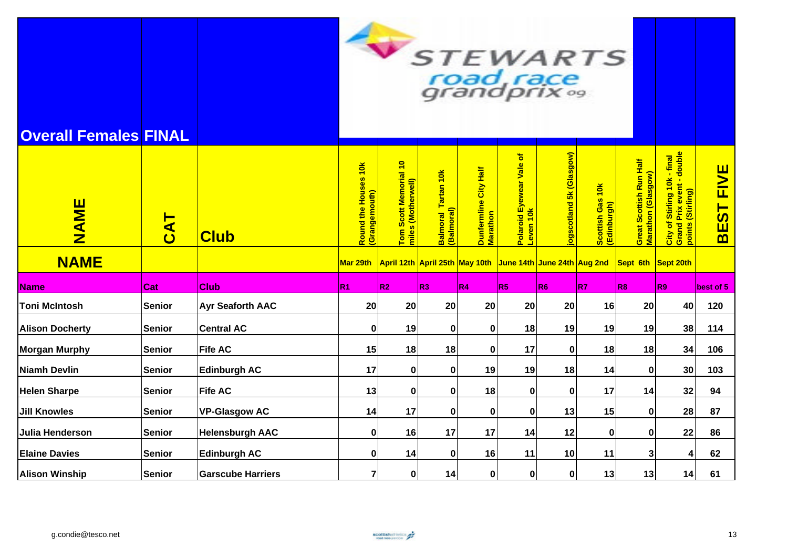

## **Overall Females FINAL**

| NAME<br><b>NAME</b>    | <b>CAT</b>    | <b>Club</b>              | 10k<br>Round the Houses<br>(Grangemouth)<br>Mar 29th | Tom Scott Memorial 10<br>miles (Motherwell) | $\frac{1}{10}$<br>Tartan<br>  <mark>Balmoral T</mark><br>  (Balmoral) | Dunfermline City Half<br>Marathon | Polaroid Eyewear Vale of<br>$\frac{1}{10}$<br>Leven<br>April 12th April 25th May 10th June 14th June 24th Aug 2nd | 5k (Glasgow)<br>poscotland | $\frac{1}{10}$<br>Gas<br><mark>Scottish Gas</mark><br>(Edinburgh) | Great Scottish Run Half<br>Marathon (Glasgow) | City of Stirling 10k - final<br>Grand Prix event - double<br>points (Stirling)<br>Sept 6th Sept 20th | <b>FIVE</b><br>$\overline{\mathbf{5}}$<br>Ш<br>$\overline{\mathbf{m}}$ |
|------------------------|---------------|--------------------------|------------------------------------------------------|---------------------------------------------|-----------------------------------------------------------------------|-----------------------------------|-------------------------------------------------------------------------------------------------------------------|----------------------------|-------------------------------------------------------------------|-----------------------------------------------|------------------------------------------------------------------------------------------------------|------------------------------------------------------------------------|
| <b>Name</b>            | Cat           | <b>Club</b>              | R <sub>1</sub>                                       | R <sub>2</sub>                              | R3                                                                    | R <sub>4</sub>                    | R <sub>5</sub>                                                                                                    | R6                         | R7                                                                | R <sub>8</sub>                                | R <sub>9</sub>                                                                                       | best of 5                                                              |
| <b>Toni McIntosh</b>   | <b>Senior</b> | <b>Ayr Seaforth AAC</b>  | 20                                                   | 20                                          | 20                                                                    | 20                                | 20                                                                                                                | 20                         | 16                                                                | 20                                            | 40                                                                                                   | 120                                                                    |
| <b>Alison Docherty</b> | <b>Senior</b> | <b>Central AC</b>        | 0                                                    | 19                                          | $\bf{0}$                                                              | $\bf{0}$                          | 18                                                                                                                | 19                         | 19                                                                | 19                                            | 38                                                                                                   | 114                                                                    |
| <b>Morgan Murphy</b>   | <b>Senior</b> | <b>Fife AC</b>           | 15                                                   | 18                                          | 18                                                                    | 0                                 | 17                                                                                                                | 0                          | 18                                                                | 18                                            | 34                                                                                                   | 106                                                                    |
| <b>Niamh Devlin</b>    | <b>Senior</b> | <b>Edinburgh AC</b>      | 17                                                   | 0                                           | 0                                                                     | 19                                | 19                                                                                                                | 18                         | 14                                                                | $\mathbf{0}$                                  | 30                                                                                                   | 103                                                                    |
| <b>Helen Sharpe</b>    | Senior        | <b>Fife AC</b>           | 13                                                   | 0                                           | 0                                                                     | 18                                | 0                                                                                                                 | 0                          | 17                                                                | 14                                            | 32                                                                                                   | 94                                                                     |
| <b>Jill Knowles</b>    | <b>Senior</b> | <b>VP-Glasgow AC</b>     | 14                                                   | 17                                          | $\bf{0}$                                                              | $\mathbf 0$                       | 0                                                                                                                 | 13                         | 15                                                                | 0                                             | 28                                                                                                   | 87                                                                     |
| Julia Henderson        | <b>Senior</b> | <b>Helensburgh AAC</b>   | 0                                                    | 16                                          | 17                                                                    | 17                                | 14                                                                                                                | 12                         | 0                                                                 | $\mathbf{0}$                                  | 22                                                                                                   | 86                                                                     |
| <b>Elaine Davies</b>   | <b>Senior</b> | <b>Edinburgh AC</b>      | $\bf{0}$                                             | 14                                          | $\bf{0}$                                                              | 16                                | 11                                                                                                                | 10                         | 11                                                                | 3                                             |                                                                                                      | 62                                                                     |
| <b>Alison Winship</b>  | <b>Senior</b> | <b>Garscube Harriers</b> |                                                      | 0                                           | 14                                                                    | 0                                 | 0                                                                                                                 | 0                          | 13                                                                | 13                                            | 14                                                                                                   | 61                                                                     |

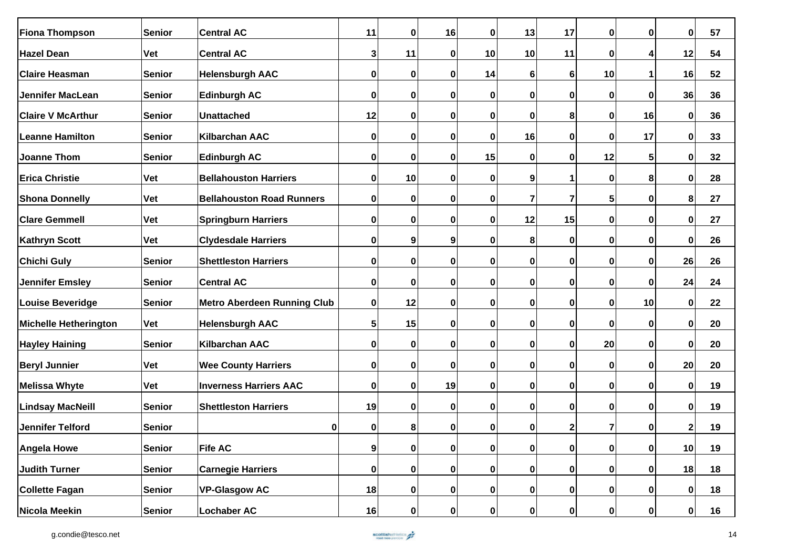| <b>Fiona Thompson</b>        | <b>Senior</b> | <b>Central AC</b>                  | 11       | $\bf{0}$    | 16          | $\mathbf 0$ | 13        | 17             | 0            | 0           | 0            | 57 |
|------------------------------|---------------|------------------------------------|----------|-------------|-------------|-------------|-----------|----------------|--------------|-------------|--------------|----|
| <b>Hazel Dean</b>            | Vet           | <b>Central AC</b>                  | 3        | 11          | 0           | 10          | 10        | 11             | 0            | 4           | 12           | 54 |
| <b>Claire Heasman</b>        | <b>Senior</b> | <b>Helensburgh AAC</b>             | 0        | $\mathbf 0$ | 0           | 14          | 6         | 6              | 10           |             | 16           | 52 |
| <b>Jennifer MacLean</b>      | <b>Senior</b> | <b>Edinburgh AC</b>                | 0        | $\pmb{0}$   | 0           | 0           | 0         | $\pmb{0}$      | 0            | 0           | 36           | 36 |
| <b>Claire V McArthur</b>     | <b>Senior</b> | <b>Unattached</b>                  | 12       | $\pmb{0}$   | $\mathbf 0$ | $\mathbf 0$ | 0         | 8              | $\bf{0}$     | 16          | 0            | 36 |
| <b>Leanne Hamilton</b>       | <b>Senior</b> | <b>Kilbarchan AAC</b>              | 0        | $\mathbf 0$ | 0           | 0           | 16        | $\pmb{0}$      | 0            | 17          | 0            | 33 |
| <b>Joanne Thom</b>           | <b>Senior</b> | <b>Edinburgh AC</b>                | 0        | 0           | 0           | 15          | 0         | 0              | 12           | 5           | 0            | 32 |
| <b>Erica Christie</b>        | <b>Vet</b>    | <b>Bellahouston Harriers</b>       | 0        | 10          | 0           | 0           | 9         | 1              | 0            | 8           | 0            | 28 |
| <b>Shona Donnelly</b>        | <b>Vet</b>    | <b>Bellahouston Road Runners</b>   | 0        | $\mathbf 0$ | 0           | $\mathbf 0$ | 7         | $\overline{7}$ | 5            | 0           | 8            | 27 |
| <b>Clare Gemmell</b>         | <b>Vet</b>    | <b>Springburn Harriers</b>         | 0        | $\mathbf 0$ | 0           | $\mathbf 0$ | 12        | 15             | 0            | $\mathbf 0$ | 0            | 27 |
| <b>Kathryn Scott</b>         | Vet           | <b>Clydesdale Harriers</b>         | $\bf{0}$ | 9           | 9           | 0           | 8         | 0              | 0            | 0           | 0            | 26 |
| <b>Chichi Guly</b>           | Senior        | <b>Shettleston Harriers</b>        | 0        | $\mathbf 0$ | 0           | $\mathbf 0$ | 0         | $\pmb{0}$      | 0            | $\mathbf 0$ | 26           | 26 |
| <b>Jennifer Emsley</b>       | <b>Senior</b> | <b>Central AC</b>                  | 0        | $\mathbf 0$ | 0           | 0           | 0         | 0              | 0            | 0           | 24           | 24 |
| <b>Louise Beveridge</b>      | <b>Senior</b> | <b>Metro Aberdeen Running Club</b> | 0        | 12          | 0           | 0           | 0         | 0              | 0            | 10          | 0            | 22 |
| <b>Michelle Hetherington</b> | <b>Vet</b>    | <b>Helensburgh AAC</b>             | 5        | 15          | 0           | 0           | 0         | $\bf{0}$       | $\mathbf 0$  | 0           | $\mathbf 0$  | 20 |
| <b>Hayley Haining</b>        | Senior        | Kilbarchan AAC                     | 0        | $\pmb{0}$   | 0           | 0           | 0         | 0              | 20           | 0           | 0            | 20 |
| <b>Beryl Junnier</b>         | <b>Vet</b>    | <b>Wee County Harriers</b>         | $\bf{0}$ | $\pmb{0}$   | 0           | 0           | 0         | $\pmb{0}$      | 0            | $\mathbf 0$ | 20           | 20 |
| <b>Melissa Whyte</b>         | <b>Vet</b>    | <b>Inverness Harriers AAC</b>      | $\bf{0}$ | $\pmb{0}$   | 19          | $\mathbf 0$ | 0         | $\pmb{0}$      | 0            | 0           | 0            | 19 |
| <b>Lindsay MacNeill</b>      | <b>Senior</b> | <b>Shettleston Harriers</b>        | 19       | $\mathbf 0$ | 0           | $\mathbf 0$ | 0         | $\pmb{0}$      | 0            | $\pmb{0}$   | 0            | 19 |
| <b>Jennifer Telford</b>      | <b>Senior</b> | 0                                  | 0        | 8           | 0           | 0           | 0         | $\mathbf{2}$   | 7            | 0           | 2            | 19 |
| <b>Angela Howe</b>           | <b>Senior</b> | <b>Fife AC</b>                     | 9        | 0           | 0           | 0           | $\pmb{0}$ | $\mathbf 0$    | $\mathbf 0$  | $\bf{0}$    | 10           | 19 |
| <b>Judith Turner</b>         | Senior        | <b>Carnegie Harriers</b>           | 0        | 0           | $\pmb{0}$   | 0           | $\pmb{0}$ | $\pmb{0}$      | $\mathbf{0}$ | $\pmb{0}$   | 18           | 18 |
| <b>Collette Fagan</b>        | <b>Senior</b> | <b>VP-Glasgow AC</b>               | 18       | 0           | 0           | $\mathbf 0$ | 0         | $\mathbf 0$    | $\mathbf 0$  | $\mathbf 0$ | $\mathbf 0$  | 18 |
| Nicola Meekin                | <b>Senior</b> | <b>Lochaber AC</b>                 | 16       | 0           | 0           | 0           | 0         | $\mathbf 0$    | 0            | $\pmb{0}$   | $\mathbf{0}$ | 16 |

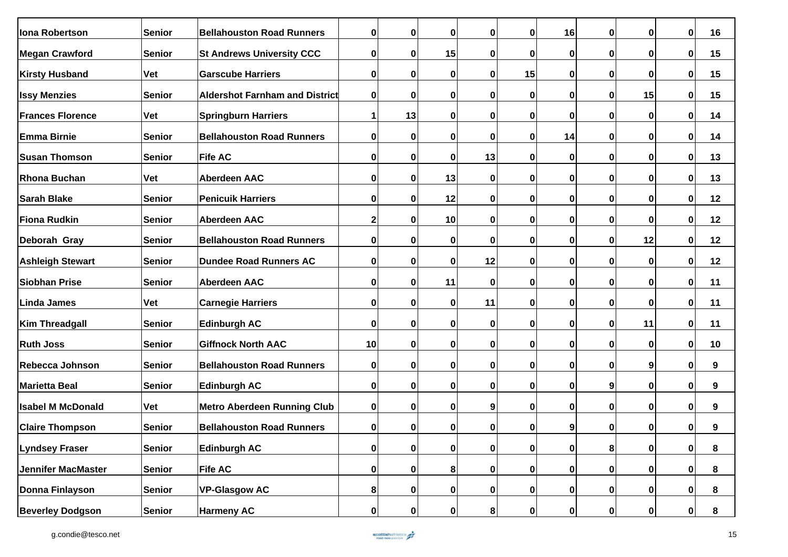| <b>Iona Robertson</b>     | <b>Senior</b> | <b>Bellahouston Road Runners</b>      | 0         | $\bf{0}$    | 0        | $\bf{0}$    | $\bf{0}$ | 16               | 0 | 0           | 0 | 16 |
|---------------------------|---------------|---------------------------------------|-----------|-------------|----------|-------------|----------|------------------|---|-------------|---|----|
| <b>Megan Crawford</b>     | Senior        | <b>St Andrews University CCC</b>      | $\pmb{0}$ | $\mathbf 0$ | 15       | 0           | 0        | $\pmb{0}$        | 0 | 0           | 0 | 15 |
| <b>Kirsty Husband</b>     | <b>Vet</b>    | <b>Garscube Harriers</b>              | 0         | $\mathbf 0$ | 0        | $\mathbf 0$ | 15       | $\mathbf 0$      | 0 | $\mathbf 0$ | 0 | 15 |
| <b>Issy Menzies</b>       | <b>Senior</b> | <b>Aldershot Farnham and District</b> | 0         | $\bf{0}$    | 0        | 0           | $\bf{0}$ | $\pmb{0}$        | 0 | 15          | 0 | 15 |
| <b>Frances Florence</b>   | <b>Vet</b>    | <b>Springburn Harriers</b>            | 1         | 13          | 0        | 0           | 0        | 0                | 0 | 0           | 0 | 14 |
| <b>Emma Birnie</b>        | Senior        | <b>Bellahouston Road Runners</b>      | 0         | $\mathbf 0$ | 0        | 0           | $\bf{0}$ | 14               | 0 | 0           | 0 | 14 |
| <b>Susan Thomson</b>      | Senior        | <b>Fife AC</b>                        | 0         | 0           | 0        | 13          | $\bf{0}$ | 0                | 0 | 0           | 0 | 13 |
| <b>Rhona Buchan</b>       | <b>Vet</b>    | <b>Aberdeen AAC</b>                   | $\bf{0}$  | $\mathbf 0$ | 13       | $\mathbf 0$ | $\bf{0}$ | $\pmb{0}$        | 0 | 0           | 0 | 13 |
| <b>Sarah Blake</b>        | <b>Senior</b> | <b>Penicuik Harriers</b>              | 0         | $\mathbf 0$ | 12       | $\mathbf 0$ | $\bf{0}$ | $\pmb{0}$        | 0 | 0           | 0 | 12 |
| <b>Fiona Rudkin</b>       | <b>Senior</b> | <b>Aberdeen AAC</b>                   | 2         | $\bf{0}$    | 10       | 0           | $\bf{0}$ | 0                | 0 | 0           | 0 | 12 |
| Deborah Gray              | Senior        | <b>Bellahouston Road Runners</b>      | $\bf{0}$  | 0           | 0        | 0           | $\bf{0}$ | 0                | 0 | 12          | 0 | 12 |
| <b>Ashleigh Stewart</b>   | Senior        | <b>Dundee Road Runners AC</b>         | 0         | $\mathbf 0$ | 0        | 12          | 0        | 0                | 0 | 0           | 0 | 12 |
| <b>Siobhan Prise</b>      | Senior        | <b>Aberdeen AAC</b>                   | 0         | $\mathbf 0$ | 11       | 0           | 0        | $\mathbf 0$      | 0 | 0           | 0 | 11 |
| <b>Linda James</b>        | <b>Vet</b>    | <b>Carnegie Harriers</b>              | 0         | $\bf{0}$    | 0        | 11          | $\bf{0}$ | $\bf{0}$         | 0 | 0           | 0 | 11 |
| <b>Kim Threadgall</b>     | <b>Senior</b> | <b>Edinburgh AC</b>                   | $\pmb{0}$ | $\pmb{0}$   | 0        | $\mathbf 0$ | $\bf{0}$ | $\pmb{0}$        | 0 | 11          | 0 | 11 |
| <b>Ruth Joss</b>          | Senior        | <b>Giffnock North AAC</b>             | 10        | $\bf{0}$    | 0        | $\bf{0}$    | 0        | 0                | 0 | $\mathbf 0$ | 0 | 10 |
| Rebecca Johnson           | Senior        | <b>Bellahouston Road Runners</b>      | 0         | 0           | 0        | 0           | $\bf{0}$ | 0                | 0 | 9           | 0 | 9  |
| <b>Marietta Beal</b>      | Senior        | <b>Edinburgh AC</b>                   | $\pmb{0}$ | $\pmb{0}$   | 0        | $\mathbf 0$ | $\bf{0}$ | $\mathbf 0$      | 9 | $\mathbf 0$ | 0 | 9  |
| <b>Isabel M McDonald</b>  | Vet           | <b>Metro Aberdeen Running Club</b>    | 0         | $\mathbf 0$ | 0        | 9           | $\bf{0}$ | $\pmb{0}$        | 0 | $\mathbf 0$ | 0 | 9  |
| <b>Claire Thompson</b>    | Senior        | <b>Bellahouston Road Runners</b>      | 0         | $\mathbf 0$ | 0        | 0           | $\bf{0}$ | $\boldsymbol{9}$ | 0 | 0           | 0 | 9  |
| <b>Lyndsey Fraser</b>     | <b>Senior</b> | <b>Edinburgh AC</b>                   | 0         | $\pmb{0}$   | $\bf{0}$ | $\mathbf 0$ | 0        | $\pmb{0}$        | 8 | $\mathbf 0$ | 0 | 8  |
| <b>Jennifer MacMaster</b> | Senior        | <b>Fife AC</b>                        | 0         | 0           | 8        | $\mathbf 0$ | 0        | $\mathbf 0$      | 0 | 0           | 0 | 8  |
| Donna Finlayson           | <b>Senior</b> | <b>VP-Glasgow AC</b>                  | 8         | 0           | 0        | $\mathbf 0$ | 0        | 0                | 0 | 0           | 0 | 8  |
| <b>Beverley Dodgson</b>   | <b>Senior</b> | <b>Harmeny AC</b>                     | 0         | $\pmb{0}$   | 0        | 8           | 0        | $\pmb{0}$        | 0 | 0           | 0 | 8  |

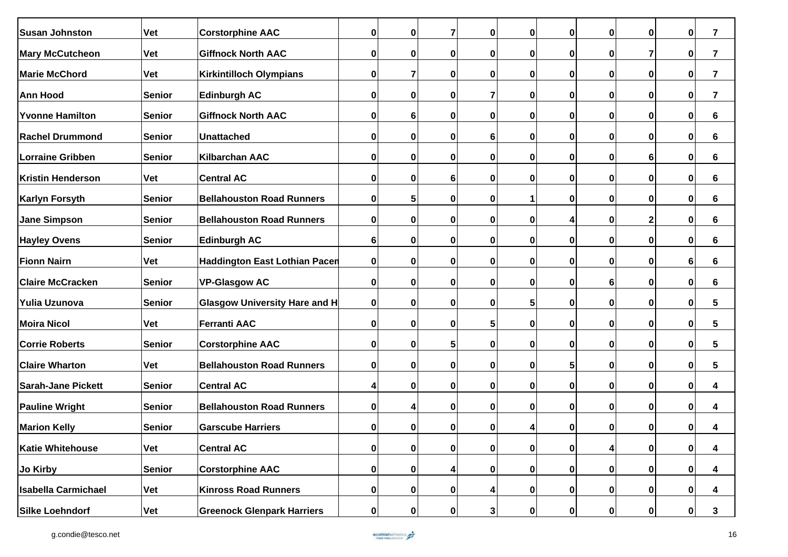| <b>Susan Johnston</b>      | <b>Vet</b>    | <b>Corstorphine AAC</b>              | $\pmb{0}$   | $\mathbf 0$     | 7                | $\pmb{0}$    | 0                | 0           | 0                | $\pmb{0}$   | $\pmb{0}$ | $\overline{7}$  |
|----------------------------|---------------|--------------------------------------|-------------|-----------------|------------------|--------------|------------------|-------------|------------------|-------------|-----------|-----------------|
| <b>Mary McCutcheon</b>     | <b>Vet</b>    | <b>Giffnock North AAC</b>            | 0           | $\bf{0}$        | $\mathbf 0$      | $\bf{0}$     | $\bf{0}$         | $\bf{0}$    | 0                | 7           | $\pmb{0}$ | 7               |
| <b>Marie McChord</b>       | <b>Vet</b>    | <b>Kirkintilloch Olympians</b>       | 0           | $\overline{7}$  | $\mathbf 0$      | $\bf{0}$     | 0                | 0           | 0                | $\pmb{0}$   | 0         | 7               |
| <b>Ann Hood</b>            | <b>Senior</b> | <b>Edinburgh AC</b>                  | 0           | $\bf{0}$        | $\mathbf 0$      | 7            | 0                | 0           | 0                | 0           | 0         | 7               |
| <b>Yvonne Hamilton</b>     | Senior        | <b>Giffnock North AAC</b>            | $\pmb{0}$   | $6\phantom{1}6$ | $\mathbf 0$      | 0            | 0                | 0           | 0                | $\pmb{0}$   | $\bf{0}$  | 6               |
| <b>Rachel Drummond</b>     | <b>Senior</b> | <b>Unattached</b>                    | 0           | $\bf{0}$        | $\mathbf 0$      | 6            | 0                | 0           | 0                | $\pmb{0}$   | $\bf{0}$  | 6               |
| Lorraine Gribben           | <b>Senior</b> | <b>Kilbarchan AAC</b>                | 0           | $\bf{0}$        | 0                | 0            | 0                | 0           | 0                | 6           | $\bf{0}$  | 6               |
| Kristin Henderson          | <b>Vet</b>    | <b>Central AC</b>                    | 0           | 0               | 6                | 0            | 0                | 0           | 0                | 0           | 0         | 6               |
| Karlyn Forsyth             | Senior        | <b>Bellahouston Road Runners</b>     | 0           | $5\phantom{.0}$ | $\mathbf 0$      | $\bf{0}$     | 1                | 0           | 0                | $\pmb{0}$   | 0         | 6               |
| <b>Jane Simpson</b>        | <b>Senior</b> | <b>Bellahouston Road Runners</b>     | $\pmb{0}$   | $\mathbf 0$     | $\mathbf 0$      | $\mathbf 0$  | $\bf{0}$         | 4           | 0                | 2           | $\bf{0}$  | 6               |
| <b>Hayley Ovens</b>        | <b>Senior</b> | <b>Edinburgh AC</b>                  | 6           | 0               | $\mathbf 0$      | 0            | 0                | 0           | 0                | 0           | $\pmb{0}$ | 6               |
| <b>Fionn Nairn</b>         | <b>Vet</b>    | <b>Haddington East Lothian Pacen</b> | $\mathbf 0$ | $\mathbf 0$     | $\mathbf 0$      | $\mathbf 0$  | $\bf{0}$         | $\bf{0}$    | 0                | $\bf{0}$    | 6         | 6               |
| <b>Claire McCracken</b>    | <b>Senior</b> | <b>VP-Glasgow AC</b>                 | $\pmb{0}$   | $\bf{0}$        | 0                | 0            | 0                | 0           | 6                | 0           | 0         | 6               |
| Yulia Uzunova              | <b>Senior</b> | <b>Glasgow University Hare and H</b> | $\mathbf 0$ | $\bf{0}$        | 0                | 0            | 5                | 0           | 0                | 0           | 0         | 5               |
| <b>Moira Nicol</b>         | <b>Vet</b>    | <b>Ferranti AAC</b>                  | $\pmb{0}$   | $\bf{0}$        | $\mathbf 0$      | 5            | 0                | 0           | 0                | 0           | 0         | 5               |
| <b>Corrie Roberts</b>      | Senior        | <b>Corstorphine AAC</b>              | 0           | $\mathbf 0$     | 5                | $\mathbf 0$  | 0                | $\mathbf 0$ | 0                | $\mathbf 0$ | $\bf{0}$  | $5\phantom{.0}$ |
| <b>Claire Wharton</b>      | <b>Vet</b>    | <b>Bellahouston Road Runners</b>     | $\pmb{0}$   | $\mathbf 0$     | $\mathbf 0$      | $\mathbf 0$  | $\bf{0}$         | 5           | 0                | $\mathbf 0$ | $\bf{0}$  | 5               |
| <b>Sarah-Jane Pickett</b>  | <b>Senior</b> | <b>Central AC</b>                    | 4           | 0               | 0                | $\bf{0}$     | 0                | 0           | 0                | 0           | 0         | 4               |
| <b>Pauline Wright</b>      | <b>Senior</b> | <b>Bellahouston Road Runners</b>     | $\mathbf 0$ | 4               | $\mathbf 0$      | $\bf{0}$     | 0                | 0           | 0                | 0           | 0         | 4               |
| <b>Marion Kelly</b>        | <b>Senior</b> | <b>Garscube Harriers</b>             | 0           | $\bf{0}$        | 0                | 0            | 4                | 0           | 0                | 0           | 0         | 4               |
| <b>Katie Whitehouse</b>    | <b>Vet</b>    | <b>Central AC</b>                    | $\pmb{0}$   | $\mathbf 0$     | $\boldsymbol{0}$ | $\bf{0}$     | 0                | $\bf{0}$    | 4                | $\bf{0}$    | $\pmb{0}$ | 4               |
| Jo Kirby                   | <b>Senior</b> | <b>Corstorphine AAC</b>              | $\pmb{0}$   | $\mathbf 0$     | 4                | $\bf{0}$     | 0                | $\bf{0}$    | $\boldsymbol{0}$ | $\bf{0}$    | $\pmb{0}$ | 4               |
| <b>Isabella Carmichael</b> | <b>Vet</b>    | <b>Kinross Road Runners</b>          | 0           | $\mathbf{0}$    | $\mathbf 0$      | 4            | 0                | $\bf{0}$    | 0                | 0           | 0         | 4               |
| Silke Loehndorf            | <b>Vet</b>    | <b>Greenock Glenpark Harriers</b>    | 0           | $\mathbf{0}$    | 0                | $\mathbf{3}$ | $\boldsymbol{0}$ | $\bf{0}$    | $\boldsymbol{0}$ | $\bf{0}$    | 0         | 3               |

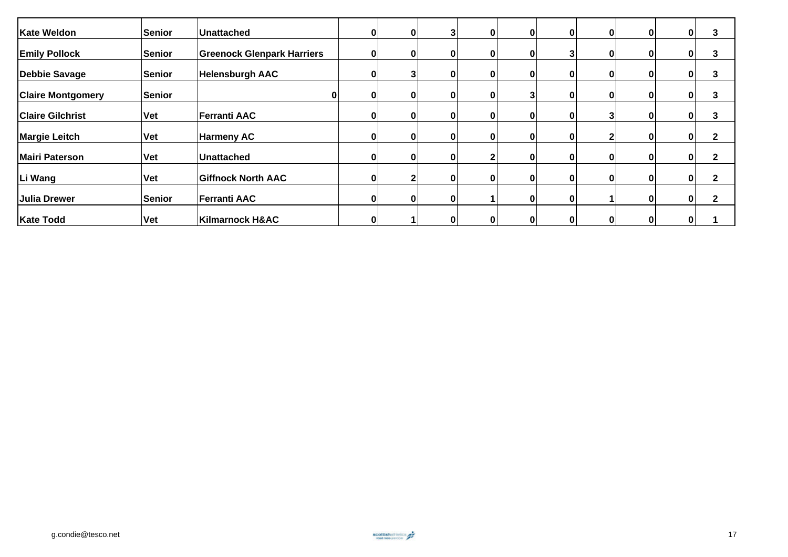| <b>Kate Weldon</b>       | Senior        | ∣Unattached                       |   | $\mathbf{0}$ |   | 0 | 0            | 0        | 0 | 0 | 3            |
|--------------------------|---------------|-----------------------------------|---|--------------|---|---|--------------|----------|---|---|--------------|
| <b>Emily Pollock</b>     | <b>Senior</b> | <b>Greenock Glenpark Harriers</b> |   |              |   |   |              |          | O | 0 | 3            |
| <b>Debbie Savage</b>     | Senior        | <b>Helensburgh AAC</b>            |   |              |   | 0 | 0            | $\Omega$ | 0 | 0 | 3            |
| <b>Claire Montgomery</b> | <b>Senior</b> |                                   |   | $\mathbf{0}$ | 0 |   | 0            | 0        | 0 | 0 | 3            |
| <b>Claire Gilchrist</b>  | <b>Vet</b>    | Ferranti AAC                      |   | 0            |   |   | 0            |          | O | 0 | 3            |
| <b>Margie Leitch</b>     | <b>Vet</b>    | <b>Harmeny AC</b>                 |   | ŋ            |   | ი | 0            |          | 0 | 0 | 2            |
| <b>Mairi Paterson</b>    | <b>Vet</b>    | Unattached                        |   | $\mathbf{0}$ | n | 0 | $\mathbf{0}$ | 0        | 0 | 0 | 2            |
| Li Wang                  | <b>Vet</b>    | <b>Giffnock North AAC</b>         | O |              |   | 0 | 0            | 0        | 0 | 0 | $\mathbf{2}$ |
| Julia Drewer             | Senior        | <b>Ferranti AAC</b>               |   |              |   |   | 0            |          | 0 | 0 | 2            |
| <b>Kate Todd</b>         | <b>Vet</b>    | Kilmarnock H&AC                   |   |              |   | O | $\mathbf{0}$ |          | 0 | 0 |              |

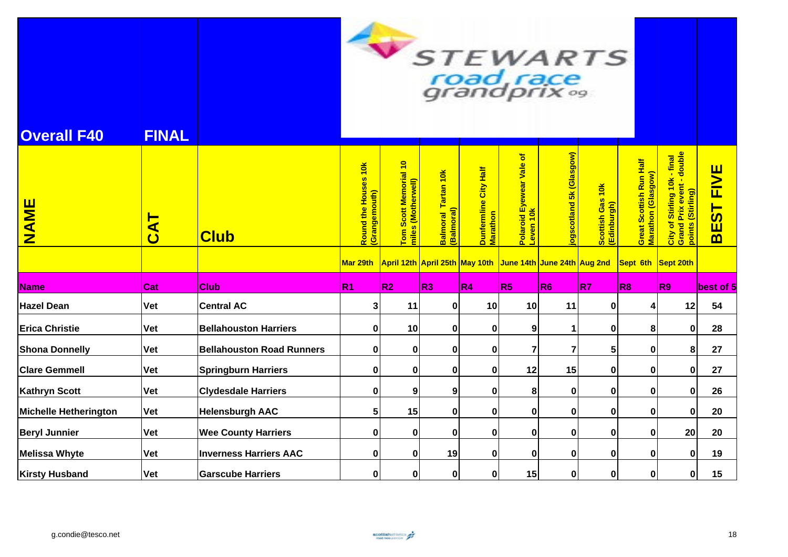| <b>Overall F40</b>           | <b>FINAL</b>   | $\sqrt{2}$<br><b>STEWARTS</b><br>road race<br>grandprix% |                                      |                                             |                                   |                                   |                                                            |                         |                                                            |                                               |                                                                                |                            |
|------------------------------|----------------|----------------------------------------------------------|--------------------------------------|---------------------------------------------|-----------------------------------|-----------------------------------|------------------------------------------------------------|-------------------------|------------------------------------------------------------|-----------------------------------------------|--------------------------------------------------------------------------------|----------------------------|
| <b>NAME</b>                  | $\overline{A}$ | <b>Club</b>                                              | Round the Houses 10k<br>Grangemouth) | Tom Scott Memorial 10<br>miles (Motherwell) | Balmoral Tartan 10k<br>(Balmoral) | Dunfermline City Half<br>Marathon | Polaroid Eyewear Vale of<br>Leven 10k                      | ogscotland 5k (Glasgow) | $\frac{1}{10}$<br><mark>Scottish Gas</mark><br>(Edinburgh) | Great Scottish Run Half<br>Marathon (Glasgow) | City of Stirling 10k - final<br>Grand Prix event - double<br>points (Stirling) | <b>FIVE</b><br><b>BEST</b> |
|                              |                |                                                          | Mar 29th                             |                                             |                                   |                                   | April 12th April 25th May 10th June 14th June 24th Aug 2nd |                         |                                                            | Sept 6th Sept 20th                            |                                                                                |                            |
| <b>Name</b>                  | Cat            | <b>Club</b>                                              | R <sub>1</sub>                       | R2                                          | R <sub>3</sub>                    | R <sub>4</sub>                    | R <sub>5</sub>                                             | R <sub>6</sub>          | R7                                                         | R <sub>8</sub>                                | R9                                                                             | best of 5                  |
| <b>Hazel Dean</b>            | <b>Vet</b>     | <b>Central AC</b>                                        | 3                                    | 11                                          | 0                                 | 10                                | 10                                                         | 11                      | $\mathbf 0$                                                | 4                                             | 12                                                                             | 54                         |
| <b>Erica Christie</b>        | <b>Vet</b>     | <b>Bellahouston Harriers</b>                             | $\mathbf 0$                          | 10                                          | $\mathbf 0$                       | $\bf{0}$                          | 9                                                          | 1                       | $\mathbf 0$                                                | 8                                             | $\mathbf 0$                                                                    | 28                         |
| <b>Shona Donnelly</b>        | Vet            | <b>Bellahouston Road Runners</b>                         | 0                                    | $\mathbf 0$                                 | 0                                 | 0                                 | $\overline{7}$                                             | $\overline{7}$          | 5                                                          | $\pmb{0}$                                     | 8                                                                              | 27                         |
| <b>Clare Gemmell</b>         | <b>Vet</b>     | <b>Springburn Harriers</b>                               | $\pmb{0}$                            | $\pmb{0}$                                   | 0                                 | $\bf{0}$                          | 12                                                         | 15                      | $\mathbf 0$                                                | $\bf{0}$                                      | $\mathbf 0$                                                                    | 27                         |
| <b>Kathryn Scott</b>         | <b>Vet</b>     | <b>Clydesdale Harriers</b>                               | 0                                    | 9                                           | 9                                 | $\bf{0}$                          | 8                                                          | 0                       | $\mathbf 0$                                                | $\bf{0}$                                      | $\pmb{0}$                                                                      | 26                         |
| <b>Michelle Hetherington</b> | <b>Vet</b>     | <b>Helensburgh AAC</b>                                   | 5                                    | 15                                          | $\mathbf 0$                       | $\bf{0}$                          | 0                                                          | $\mathbf 0$             | $\mathbf 0$                                                | $\bf{0}$                                      | $\mathbf 0$                                                                    | 20                         |
| <b>Beryl Junnier</b>         | <b>Vet</b>     | <b>Wee County Harriers</b>                               | 0                                    | 0                                           | 0                                 | 0                                 | 0                                                          | $\mathbf 0$             | $\mathbf 0$                                                | $\bf{0}$                                      | 20                                                                             | 20                         |
| <b>Melissa Whyte</b>         | <b>Vet</b>     | <b>Inverness Harriers AAC</b>                            | 0                                    | $\mathbf 0$                                 | 19                                | $\bf{0}$                          | 0                                                          | $\mathbf 0$             | $\mathbf 0$                                                | $\bf{0}$                                      | $\mathbf 0$                                                                    | 19                         |
| <b>Kirsty Husband</b>        | <b>Vet</b>     | <b>Garscube Harriers</b>                                 | $\mathbf 0$                          | $\mathbf 0$                                 | $\pmb{0}$                         | 0                                 | 15                                                         | $\mathbf{0}$            | 0                                                          | $\pmb{0}$                                     | $\mathbf 0$                                                                    | 15                         |

**Contract Contract Contract Contract Contract Contract Contract Contract Contract Contract Contract Contract Contract Contract Contract Contract Contract Contract Contract Contract Contract Contract Contract Contract Contr**